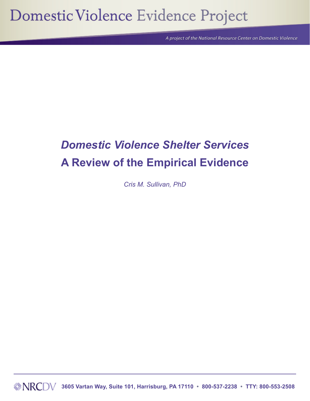# Domestic Violence Evidence Project

A project of the National Resource Center on Domestic Violence

# *Domestic Violence Shelter Services* **A Review of the Empirical Evidence**

*Cris M. Sullivan, PhD* 

 **3605 Vartan Way, Suite 101, Harrisburg, PA 17110 • 800-537-2238 • TTY: 800-553-2508**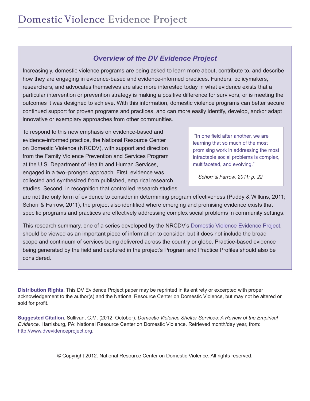# *Overview of the DV Evidence Project*

Increasingly, domestic violence programs are being asked to learn more about, contribute to, and describe how they are engaging in evidence-based and evidence-informed practices. Funders, policymakers, researchers, and advocates themselves are also more interested today in what evidence exists that a particular intervention or prevention strategy is making a positive difference for survivors, or is meeting the outcomes it was designed to achieve. With this information, domestic violence programs can better secure continued support for proven programs and practices, and can more easily identify, develop, and/or adapt innovative or exemplary approaches from other communities.

To respond to this new emphasis on evidence-based and evidence-informed practice, the National Resource Center on Domestic Violence (NRCDV), with support and direction from the Family Violence Prevention and Services Program at the U.S. Department of Health and Human Services, engaged in a two–pronged approach. First, evidence was collected and synthesized from published, empirical research studies. Second, in recognition that controlled research studies

 "In one field after another, we are learning that so much of the most promising work in addressing the most intractable social problems is complex, multifaceted, and evolving."

 *Schorr & Farrow, 2011; p. 22*

are not the only form of evidence to consider in determining program effectiveness (Puddy & Wilkins, 2011; Schorr & Farrow, 2011), the project also identified where emerging and promising evidence exists that specific programs and practices are effectively addressing complex social problems in community settings.

This research summary, one of a series developed by the NRCDV's [Domestic Violence Evidence Project](http://dvevidenceproject.org), should be viewed as an important piece of information to consider, but it does not include the broad scope and continuum of services being delivered across the country or globe. Practice-based evidence being generated by the field and captured in the project's Program and Practice Profiles should also be considered.

**Distribution Rights.** This DV Evidence Project paper may be reprinted in its entirety or excerpted with proper acknowledgement to the author(s) and the National Resource Center on Domestic Violence, but may not be altered or sold for profit.

**Suggested Citation.** Sullivan, C.M. (2012, October). *Domestic Violence Shelter Services: A Review of the Empirical Evidence,* Harrisburg, PA: National Resource Center on Domestic Violence. Retrieved month/day year, from: [http://www.dvevidenceproject.org.](http://www.dvevidenceproject.org/)

© Copyright 2012. National Resource Center on Domestic Violence. All rights reserved.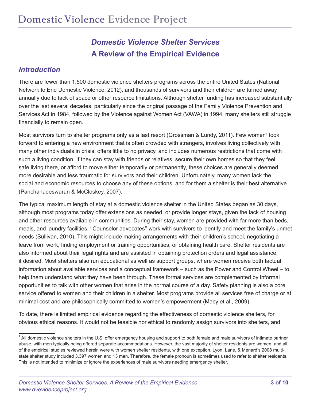# *Domestic Violence Shelter Services*  **A Review of the Empirical Evidence**

#### *Introduction*

There are fewer than 1,500 domestic violence shelters programs across the entire United States (National Network to End Domestic Violence, 2012), and thousands of survivors and their children are turned away annually due to lack of space or other resource limitations. Although shelter funding has increased substantially over the last several decades, particularly since the original passage of the Family Violence Prevention and Services Act in 1984, followed by the Violence against Women Act (VAWA) in 1994, many shelters still struggle financially to remain open.

Most survivors turn to shelter programs only as a last resort (Grossman & Lundy, 2011). Few women<sup>1</sup> look forward to entering a new environment that is often crowded with strangers, involves living collectively with many other individuals in crisis, offers little to no privacy, and includes numerous restrictions that come with such a living condition. If they can stay with friends or relatives, secure their own homes so that they feel safe living there, or afford to move either temporarily or permanently, these choices are generally deemed more desirable and less traumatic for survivors and their children. Unfortunately, many women lack the social and economic resources to choose any of these options, and for them a shelter is their best alternative (Panchanadeswaran & McCloskey, 2007).

The typical maximum length of stay at a domestic violence shelter in the United States began as 30 days, although most programs today offer extensions as needed, or provide longer stays, given the lack of housing and other resources available in communities. During their stay, women are provided with far more than beds, meals, and laundry facilities. ''Counselor advocates'' work with survivors to identify and meet the family's unmet needs (Sullivan, 2010). This might include making arrangements with their children's school, negotiating a leave from work, finding employment or training opportunities, or obtaining health care. Shelter residents are also informed about their legal rights and are assisted in obtaining protection orders and legal assistance, if desired. Most shelters also run educational as well as support groups, where women receive both factual information about available services and a conceptual framework – such as the Power and Control Wheel – to help them understand what they have been through. These formal services are complemented by informal opportunities to talk with other women that arise in the normal course of a day. Safety planning is also a core service offered to women and their children in a shelter. Most programs provide all services free of charge or at minimal cost and are philosophically committed to women's empowerment (Macy et al., 2009).

To date, there is limited empirical evidence regarding the effectiveness of domestic violence shelters, for obvious ethical reasons. It would not be feasible nor ethical to randomly assign survivors into shelters, and

 $1$  All domestic violence shelters in the U.S. offer emergency housing and support to both female and male survivors of intimate partner abuse, with men typically being offered separate accommodations. However, the vast majority of shelter residents are women, and all of the empirical studies reviewed herein were with women shelter residents, with one exception. Lyon, Lane, & Menard's 2008 multistate shelter study included 3,397 women and 13 men. Therefore, the female pronoun is sometimes used to refer to shelter residents. This is not intended to minimize or ignore the experiences of male survivors needing emergency shelter.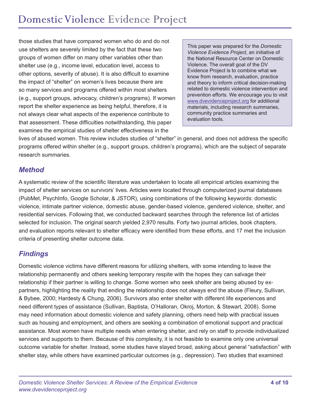those studies that have compared women who do and do not use shelters are severely limited by the fact that these two groups of women differ on many other variables other than shelter use (e.g., income level, education level, access to other options, severity of abuse). It is also difficult to examine the impact of "shelter" on women's lives because there are so many services and programs offered within most shelters (e.g., support groups, advocacy, children's programs). If women report the shelter experience as being helpful, therefore, it is not always clear what aspects of the experience contribute to that assessment. These difficulties notwithstanding, this paper examines the empirical studies of shelter effectiveness in the

This paper was prepared for the *Domestic Violence Evidence Project*, an initiative of the National Resource Center on Domestic Violence. The overall goal of the DV Evidence Project is to combine what we know from research, evaluation, practice and theory to inform critical decision-making related to domestic violence intervention and prevention efforts. We encourage you to visit [www.dvevidenceproject.org](http://www.dvevidenceproject.org) for additional materials, including research summaries, community practice summaries and evaluation tools.

lives of abused women. This review includes studies of "shelter" in general, and does not address the specific programs offered within shelter (e.g., support groups, children's programs), which are the subject of separate research summaries.

# *Method*

A systematic review of the scientific literature was undertaken to locate all empirical articles examining the impact of shelter services on survivors' lives. Articles were located through computerized journal databases (PubMet, PsychInfo, Google Scholar, & JSTOR), using combinations of the following keywords: domestic violence, intimate partner violence, domestic abuse, gender-based violence, gendered violence, shelter, and residential services. Following that, we conducted backward searches through the reference list of articles selected for inclusion. The original search yielded 2,970 results. Forty two journal articles, book chapters, and evaluation reports relevant to shelter efficacy were identified from these efforts, and 17 met the inclusion criteria of presenting shelter outcome data.

# *Findings*

Domestic violence victims have different reasons for utilizing shelters, with some intending to leave the relationship permanently and others seeking temporary respite with the hopes they can salvage their relationship if their partner is willing to change. Some women who seek shelter are being abused by expartners, highlighting the reality that ending the relationship does not always end the abuse (Fleury, Sullivan, & Bybee, 2000; Hardesty & Chung, 2006). Survivors also enter shelter with different life experiences and need different types of assistance (Sullivan, Baptista, O'Halloran, Okroj, Morton, & Stewart, 2008). Some may need information about domestic violence and safety planning, others need help with practical issues such as housing and employment, and others are seeking a combination of emotional support and practical assistance. Most women have multiple needs when entering shelter, and rely on staff to provide individualized services and supports to them. Because of this complexity, it is not feasible to examine only one universal outcome variable for shelter. Instead, some studies have stayed broad, asking about general "satisfaction" with shelter stay, while others have examined particular outcomes (e.g., depression). Two studies that examined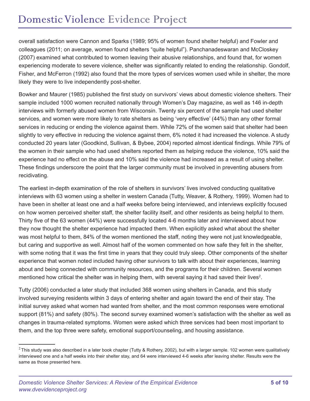overall satisfaction were Cannon and Sparks (1989; 95% of women found shelter helpful) and Fowler and colleagues (2011; on average, women found shelters "quite helpful"). Panchanadeswaran and McCloskey (2007) examined what contributed to women leaving their abusive relationships, and found that, for women experiencing moderate to severe violence, shelter was significantly related to ending the relationship. Gondolf, Fisher, and McFerron (1992) also found that the more types of services women used while in shelter, the more likely they were to live independently post-shelter.

Bowker and Maurer (1985) published the first study on survivors' views about domestic violence shelters. Their sample included 1000 women recruited nationally through Women's Day magazine, as well as 146 in-depth interviews with formerly abused women from Wisconsin. Twenty six percent of the sample had used shelter services, and women were more likely to rate shelters as being 'very effective' (44%) than any other formal services in reducing or ending the violence against them. While 72% of the women said that shelter had been slightly to very effective in reducing the violence against them, 6% noted it had increased the violence. A study conducted 20 years later (Goodkind, Sullivan, & Bybee, 2004) reported almost identical findings. While 79% of the women in their sample who had used shelters reported them as helping reduce the violence, 10% said the experience had no effect on the abuse and 10% said the violence had increased as a result of using shelter. These findings underscore the point that the larger community must be involved in preventing abusers from recidivating.

The earliest in-depth examination of the role of shelters in survivors' lives involved conducting qualitative interviews with 63 women using a shelter in western Canada (Tutty, Weaver, & Rothery, 1999). Women had to have been in shelter at least one and a half weeks before being interviewed, and interviews explicitly focused on how women perceived shelter staff, the shelter facility itself, and other residents as being helpful to them. Thirty five of the 63 women (44%) were successfully located 4-6 months later and interviewed about how they now thought the shelter experience had impacted them. When explicitly asked what about the shelter was most helpful to them, 84% of the women mentioned the staff, noting they were not just knowledgeable, but caring and supportive as well. Almost half of the women commented on how safe they felt in the shelter, with some noting that it was the first time in years that they could truly sleep. Other components of the shelter experience that women noted included having other survivors to talk with about their experiences, learning about and being connected with community resources, and the programs for their children. Several women mentioned how critical the shelter was in helping them, with several saying it had saved their lives<sup>2</sup>.

Tutty (2006) conducted a later study that included 368 women using shelters in Canada, and this study involved surveying residents within 3 days of entering shelter and again toward the end of their stay. The initial survey asked what women had wanted from shelter, and the most common responses were emotional support (81%) and safety (80%). The second survey examined women's satisfaction with the shelter as well as changes in trauma-related symptoms. Women were asked which three services had been most important to them, and the top three were safety, emotional support/counseling, and housing assistance.

 $2$  This study was also described in a later book chapter (Tutty & Rothery, 2002), but with a larger sample. 102 women were qualitatively interviewed one and a half weeks into their shelter stay, and 64 were interviewed 4-6 weeks after leaving shelter. Results were the same as those presented here.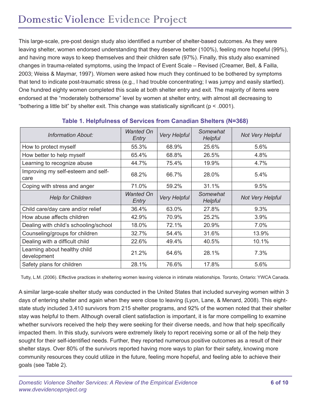This large-scale, pre-post design study also identified a number of shelter-based outcomes. As they were leaving shelter, women endorsed understanding that they deserve better (100%), feeling more hopeful (99%), and having more ways to keep themselves and their children safe (97%). Finally, this study also examined changes in trauma-related symptoms, using the Impact of Event Scale – Revised (Creamer, Bell, & Failla, 2003; Weiss & Maymar, 1997). Women were asked how much they continued to be bothered by symptoms that tend to indicate post-traumatic stress (e.g., I had trouble concentrating; I was jumpy and easily startled). One hundred eighty women completed this scale at both shelter entry and exit. The majority of items were endorsed at the "moderately bothersome" level by women at shelter entry, with almost all decreasing to "bothering a little bit" by shelter exit. This change was statistically significant ( $p < .0001$ ).

| <b>Information About:</b>                   | Wanted On<br>Entry        | <b>Very Helpful</b> | Somewhat<br>Helpful | <b>Not Very Helpful</b> |
|---------------------------------------------|---------------------------|---------------------|---------------------|-------------------------|
| How to protect myself                       | 55.3%                     | 68.9%               | 25.6%               | 5.6%                    |
| How better to help myself                   | 65.4%                     | 68.8%               | 26.5%               | 4.8%                    |
| Learning to recognize abuse                 | 44.7%                     | 75.4%               | 19.9%               | 4.7%                    |
| Improving my self-esteem and self-<br>care  | 68.2%                     | 66.7%               | 28.0%               | 5.4%                    |
| Coping with stress and anger                | 71.0%                     | 59.2%               | 31.1%               | 9.5%                    |
| <b>Help for Children</b>                    | <b>Wanted On</b><br>Entry | <b>Very Helpful</b> | Somewhat<br>Helpful | <b>Not Very Helpful</b> |
| Child care/day care and/or relief           | 36.4%                     | 63.0%               | 27.8%               | 9.3%                    |
| How abuse affects children                  | 42.9%                     | 70.9%               | 25.2%               | 3.9%                    |
| Dealing with child's schooling/school       | 18.0%                     | 72.1%               | 20.9%               | 7.0%                    |
| Counseling/groups for children              | 32.7%                     | 54.4%               | 31.6%               | 13.9%                   |
| Dealing with a difficult child              | 22.6%                     | 49.4%               | 40.5%               | 10.1%                   |
| Learning about healthy child<br>development | 21.2%                     | 64.6%               | 28.1%               | 7.3%                    |
| Safety plans for children                   | 28.1%                     | 76.6%               | 17.8%               | 5.6%                    |

#### **Table 1. Helpfulness of Services from Canadian Shelters (N=368)**

Tutty, L.M. (2006). Effective practices in sheltering women leaving violence in intimate relationships. Toronto, Ontario: YWCA Canada.

A similar large-scale shelter study was conducted in the United States that included surveying women within 3 days of entering shelter and again when they were close to leaving (Lyon, Lane, & Menard, 2008). This eightstate study included 3,410 survivors from 215 shelter programs, and 92% of the women noted that their shelter stay was helpful to them. Although overall client satisfaction is important, it is far more compelling to examine whether survivors received the help they were seeking for their diverse needs, and how that help specifically impacted them. In this study, survivors were extremely likely to report receiving some or all of the help they sought for their self-identified needs. Further, they reported numerous positive outcomes as a result of their shelter stays. Over 80% of the survivors reported having more ways to plan for their safety, knowing more community resources they could utilize in the future, feeling more hopeful, and feeling able to achieve their goals (see Table 2).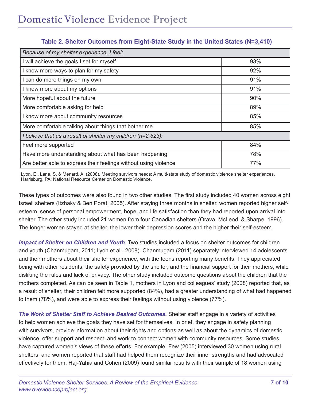| Because of my shelter experience, I feel:                        |     |  |  |  |
|------------------------------------------------------------------|-----|--|--|--|
| I will achieve the goals I set for myself                        | 93% |  |  |  |
| I know more ways to plan for my safety                           | 92% |  |  |  |
| I can do more things on my own                                   | 91% |  |  |  |
| I know more about my options                                     | 91% |  |  |  |
| More hopeful about the future                                    | 90% |  |  |  |
| More comfortable asking for help                                 | 89% |  |  |  |
| I know more about community resources                            | 85% |  |  |  |
| More comfortable talking about things that bother me             | 85% |  |  |  |
| I believe that as a result of shelter my children $(n=2,523)$ :  |     |  |  |  |
| Feel more supported                                              | 84% |  |  |  |
| Have more understanding about what has been happening            | 78% |  |  |  |
| Are better able to express their feelings without using violence | 77% |  |  |  |

### **Table 2. Shelter Outcomes from Eight-State Study in the United States (N=3,410)**

Lyon, E., Lane, S. & Menard, A. (2008). Meeting survivors needs: A multi-state study of domestic violence shelter experiences. Harrisburg, PA: National Resource Center on Domestic Violence.

These types of outcomes were also found in two other studies. The first study included 40 women across eight Israeli shelters (Itzhaky & Ben Porat, 2005). After staying three months in shelter, women reported higher selfesteem, sense of personal empowerment, hope, and life satisfaction than they had reported upon arrival into shelter. The other study included 21 women from four Canadian shelters (Orava, McLeod, & Sharpe, 1996). The longer women stayed at shelter, the lower their depression scores and the higher their self-esteem.

*Impact of Shelter on Children and Youth*. Two studies included a focus on shelter outcomes for children and youth (Chanmugam, 2011; Lyon et al., 2008). Chanmugam (2011) separately interviewed 14 adolescents and their mothers about their shelter experience, with the teens reporting many benefits. They appreciated being with other residents, the safety provided by the shelter, and the financial support for their mothers, while disliking the rules and lack of privacy. The other study included outcome questions about the children that the mothers completed. As can be seen in Table 1, mothers in Lyon and colleagues' study (2008) reported that, as a result of shelter, their children felt more supported (84%), had a greater understanding of what had happened to them (78%), and were able to express their feelings without using violence (77%).

*The Work of Shelter Staff to Achieve Desired Outcomes.* Shelter staff engage in a variety of activities to help women achieve the goals they have set for themselves. In brief, they engage in safety planning with survivors, provide information about their rights and options as well as about the dynamics of domestic violence, offer support and respect, and work to connect women with community resources. Some studies have captured women's views of these efforts. For example, Few (2005) interviewed 30 women using rural shelters, and women reported that staff had helped them recognize their inner strengths and had advocated effectively for them. Haj-Yahia and Cohen (2009) found similar results with their sample of 18 women using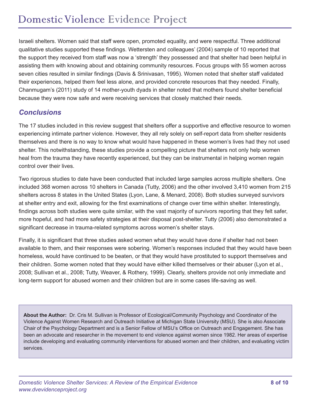Israeli shelters. Women said that staff were open, promoted equality, and were respectful. Three additional qualitative studies supported these findings. Wettersten and colleagues' (2004) sample of 10 reported that the support they received from staff was now a 'strength' they possessed and that shelter had been helpful in assisting them with knowing about and obtaining community resources. Focus groups with 55 women across seven cities resulted in similar findings (Davis & Srinivasan, 1995). Women noted that shelter staff validated their experiences, helped them feel less alone, and provided concrete resources that they needed. Finally, Chanmugam's (2011) study of 14 mother-youth dyads in shelter noted that mothers found shelter beneficial because they were now safe and were receiving services that closely matched their needs.

# *Conclusions*

The 17 studies included in this review suggest that shelters offer a supportive and effective resource to women experiencing intimate partner violence. However, they all rely solely on self-report data from shelter residents themselves and there is no way to know what would have happened in these women's lives had they not used shelter. This notwithstanding, these studies provide a compelling picture that shelters not only help women heal from the trauma they have recently experienced, but they can be instrumental in helping women regain control over their lives.

Two rigorous studies to date have been conducted that included large samples across multiple shelters. One included 368 women across 10 shelters in Canada (Tutty, 2006) and the other involved 3,410 women from 215 shelters across 8 states in the United States (Lyon, Lane, & Menard, 2008). Both studies surveyed survivors at shelter entry and exit, allowing for the first examinations of change over time within shelter. Interestingly, findings across both studies were quite similar, with the vast majority of survivors reporting that they felt safer, more hopeful, and had more safety strategies at their disposal post-shelter. Tutty (2006) also demonstrated a significant decrease in trauma-related symptoms across women's shelter stays.

Finally, it is significant that three studies asked women what they would have done if shelter had not been available to them, and their responses were sobering. Women's responses included that they would have been homeless, would have continued to be beaten, or that they would have prostituted to support themselves and their children. Some women noted that they would have either killed themselves or their abuser (Lyon et al., 2008; Sullivan et al., 2008; Tutty, Weaver, & Rothery, 1999). Clearly, shelters provide not only immediate and long-term support for abused women and their children but are in some cases life-saving as well.

**About the Author:** Dr. Cris M. Sullivan is Professor of Ecological/Community Psychology and Coordinator of the Violence Against Women Research and Outreach Initiative at Michigan State University (MSU). She is also Associate Chair of the Psychology Department and is a Senior Fellow of MSU's Office on Outreach and Engagement. She has been an advocate and researcher in the movement to end violence against women since 1982. Her areas of expertise include developing and evaluating community interventions for abused women and their children, and evaluating victim services.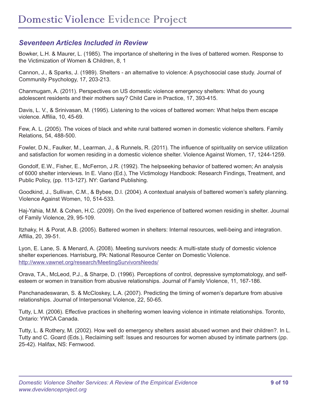# *Seventeen Articles Included in Review*

Bowker, L.H. & Maurer, L. (1985). The importance of sheltering in the lives of battered women. Response to the Victimization of Women & Children, 8, 1

Cannon, J., & Sparks, J. (1989). Shelters - an alternative to violence: A psychosocial case study. Journal of Community Psychology, 17, 203-213.

Chanmugam, A. (2011). Perspectives on US domestic violence emergency shelters: What do young adolescent residents and their mothers say? Child Care in Practice, 17, 393-415.

Davis, L. V., & Srinivasan, M. (1995). Listening to the voices of battered women: What helps them escape violence. Affilia, 10, 45-69.

Few, A. L. (2005). The voices of black and white rural battered women in domestic violence shelters. Family Relations, 54, 488-500.

Fowler, D.N., Faulker, M., Learman, J., & Runnels, R. (2011). The influence of spirituality on service utilization and satisfaction for women residing in a domestic violence shelter. Violence Against Women, 17, 1244-1259.

Gondolf, E.W., Fisher, E., McFerron, J.R. (1992). The helpseeking behavior of battered women; An analysis of 6000 shelter interviews. In E. Viano (Ed.), The Victimology Handbook: Research Findings, Treatment, and Public Policy, (pp. 113-127). NY: Garland Publishing.

Goodkind, J., Sullivan, C.M., & Bybee, D.I. (2004). A contextual analysis of battered women's safety planning. Violence Against Women, 10, 514-533.

Haj-Yahia, M.M. & Cohen, H.C. (2009). On the lived experience of battered women residing in shelter. Journal of Family Violence, 29, 95-109.

Itzhaky, H. & Porat, A.B. (2005). Battered women in shelters: Internal resources, well-being and integration. Affilia, 20, 39-51.

Lyon, E. Lane, S. & Menard, A. (2008). Meeting survivors needs: A multi-state study of domestic violence shelter experiences. Harrisburg, PA: National Resource Center on Domestic Violence. <http://www.vawnet.org/research/MeetingSurvivorsNeeds/>

Orava, T.A., McLeod, P.J., & Sharpe, D. (1996). Perceptions of control, depressive symptomatology, and selfesteem or women in transition from abusive relationships. Journal of Family Violence, 11, 167-186.

Panchanadeswaran, S. & McCloskey, L.A. (2007). Predicting the timing of women's departure from abusive relationships. Journal of Interpersonal Violence, 22, 50-65.

Tutty, L.M. (2006). Effective practices in sheltering women leaving violence in intimate relationships. Toronto, Ontario: YWCA Canada.

Tutty, L. & Rothery, M. (2002). How well do emergency shelters assist abused women and their children?. In L. Tutty and C. Goard (Eds.), Reclaiming self: Issues and resources for women abused by intimate partners (pp. 25-42). Halifax, NS: Fernwood.